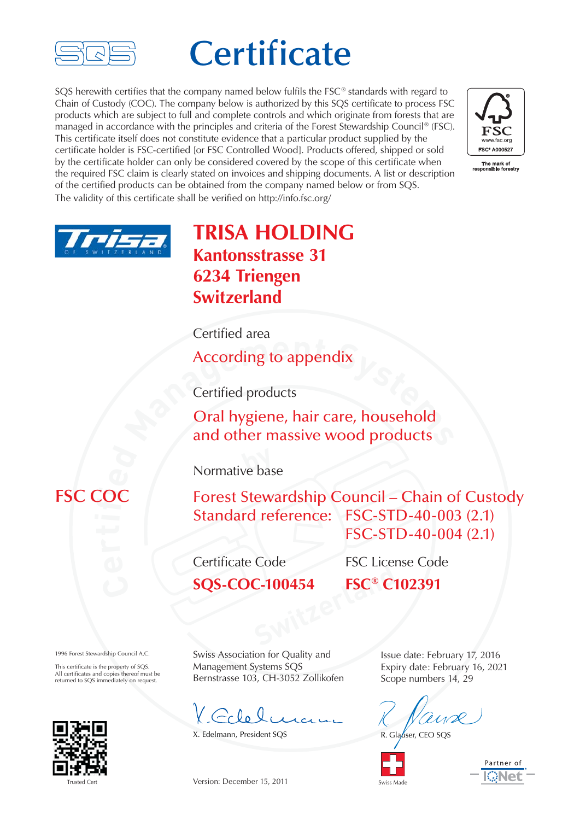

## **Certificate**

SQS herewith certifies that the company named below fulfils the FSC<sup>®</sup> standards with regard to Chain of Custody (COC). The company below is authorized by this SQS certificate to process FSC products which are subject to full and complete controls and which originate from forests that are managed in accordance with the principles and criteria of the Forest Stewardship Council® (FSC). This certificate itself does not constitute evidence that a particular product supplied by the certificate holder is FSC-certified [or FSC Controlled Wood]. Products offered, shipped or sold by the certificate holder can only be considered covered by the scope of this certificate when the required FSC claim is clearly stated on invoices and shipping documents. A list or description of the certified products can be obtained from the company named below or from SQS. The validity of this certificate shall be verified on http://info.fsc.org/





## **TRISA HOLDING Kantonsstrasse 31 6234 Triengen Switzerland**

Certified area According to appendix

Certified products

**Machinary According to appendix**<br>
Certified products<br>
Oral hygiene, hair care, household<br>
and other massive wood products Oral hygiene, hair care, household

**by** Normative base

Forest Stewardship Council – Chain of Custody Standard reference: FSC-STD-40-003 (2.1) FSC-STD-40-004 (2.1)

**C-100454 FSC® C** Certificate Code FSC License Code **SQS-COC-100454 FSC® C102391**

1996 Forest Stewardship Council A.C.

This certificate is the property of SQS. All certificates and copies thereof must be<br>returned to SQS immediately on request.

**f**

**ied**



Swiss Association for Quality and Management Systems SQS Bernstrasse 103, CH-3052 Zollikofen

KGdelman

X. Edelmann, President SQS

Issue date: February 17, 2016 Expiry date: February 16, 2021 Scope numbers 14, 29

Glauser, CEO SOS



Version: December 15, 2011